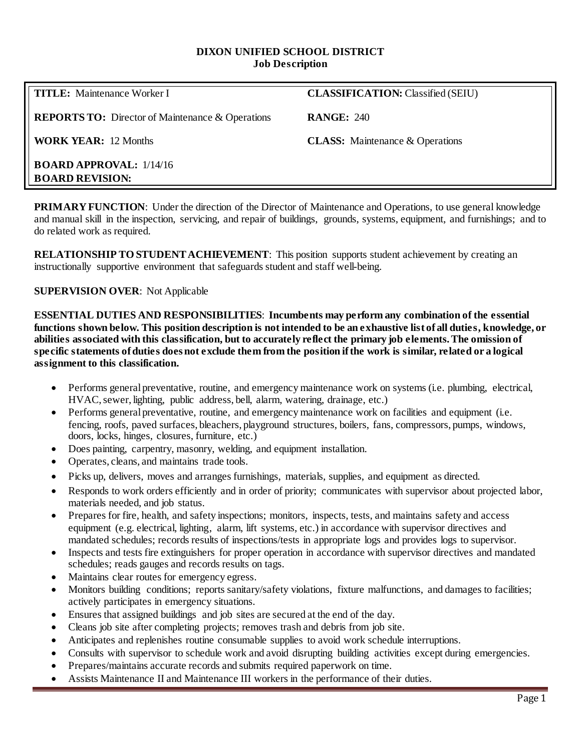#### **DIXON UNIFIED SCHOOL DISTRICT Job Description**

**REPORTS TO:** Director of Maintenance & Operations **RANGE:** 240

**WORK YEAR:** 12 Months **CLASS:** Maintenance & Operations

**TITLE:** Maintenance Worker I **CLASSIFICATION:** Classified (SEIU)

**BOARD APPROVAL:** 1/14/16 **BOARD REVISION:**

**PRIMARY FUNCTION:** Under the direction of the Director of Maintenance and Operations, to use general knowledge and manual skill in the inspection, servicing, and repair of buildings, grounds, systems, equipment, and furnishings; and to do related work as required.

**RELATIONSHIP TO STUDENT ACHIEVEMENT**: This position supports student achievement by creating an instructionally supportive environment that safeguards student and staff well-being.

### **SUPERVISION OVER**: Not Applicable

**ESSENTIAL DUTIES AND RESPONSIBILITIES**: **Incumbents may perform any combination of the essential functions shown below. This position description is not intended to be an exhaustive list of all duties, knowledge, or abilities associated with this classification, but to accurately reflect the primary job elements. The omission of specific statements of duties does not exclude them from the position if the work is similar, related or a logical assignment to this classification.**

- Performs general preventative, routine, and emergency maintenance work on systems (i.e. plumbing, electrical, HVAC, sewer, lighting, public address, bell, alarm, watering, drainage, etc.)
- Performs general preventative, routine, and emergency maintenance work on facilities and equipment (i.e. fencing, roofs, paved surfaces, bleachers, playground structures, boilers, fans, compressors, pumps, windows, doors, locks, hinges, closures, furniture, etc.)
- Does painting, carpentry, masonry, welding, and equipment installation.
- Operates, cleans, and maintains trade tools.
- Picks up, delivers, moves and arranges furnishings, materials, supplies, and equipment as directed.
- Responds to work orders efficiently and in order of priority; communicates with supervisor about projected labor, materials needed, and job status.
- Prepares for fire, health, and safety inspections; monitors, inspects, tests, and maintains safety and access equipment (e.g. electrical, lighting, alarm, lift systems, etc.) in accordance with supervisor directives and mandated schedules; records results of inspections/tests in appropriate logs and provides logs to supervisor.
- Inspects and tests fire extinguishers for proper operation in accordance with supervisor directives and mandated schedules; reads gauges and records results on tags.
- Maintains clear routes for emergency egress.
- Monitors building conditions; reports sanitary/safety violations, fixture malfunctions, and damages to facilities; actively participates in emergency situations.
- Ensures that assigned buildings and job sites are secured at the end of the day.
- Cleans job site after completing projects; removes trash and debris from job site.
- Anticipates and replenishes routine consumable supplies to avoid work schedule interruptions.
- Consults with supervisor to schedule work and avoid disrupting building activities except during emergencies.
- Prepares/maintains accurate records and submits required paperwork on time.
- Assists Maintenance II and Maintenance III workers in the performance of their duties.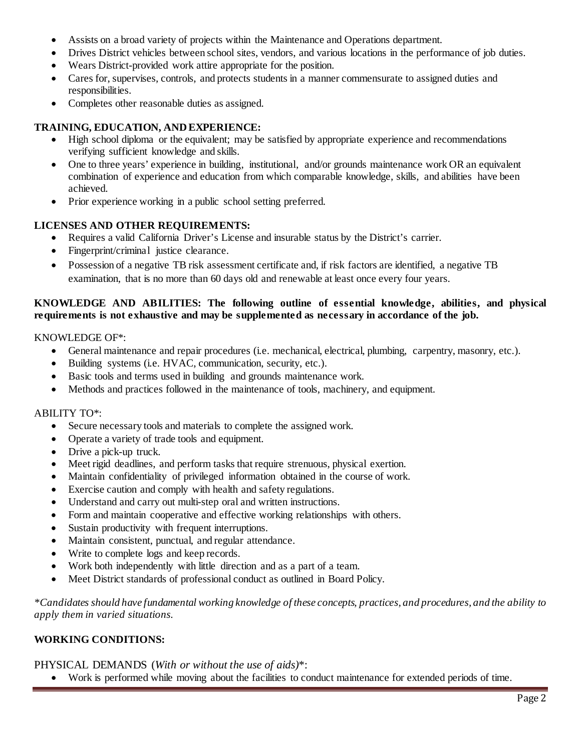- Assists on a broad variety of projects within the Maintenance and Operations department.
- Drives District vehicles between school sites, vendors, and various locations in the performance of job duties.
- Wears District-provided work attire appropriate for the position.
- Cares for, supervises, controls, and protects students in a manner commensurate to assigned duties and responsibilities.
- Completes other reasonable duties as assigned.

# **TRAINING, EDUCATION, AND EXPERIENCE:**

- High school diploma or the equivalent; may be satisfied by appropriate experience and recommendations verifying sufficient knowledge and skills.
- One to three years' experience in building, institutional, and/or grounds maintenance work OR an equivalent combination of experience and education from which comparable knowledge, skills, and abilities have been achieved.
- Prior experience working in a public school setting preferred.

# **LICENSES AND OTHER REQUIREMENTS:**

- Requires a valid California Driver's License and insurable status by the District's carrier.
- Fingerprint/criminal justice clearance.
- Possession of a negative TB risk assessment certificate and, if risk factors are identified, a negative TB examination, that is no more than 60 days old and renewable at least once every four years.

## **KNOWLEDGE AND ABILITIES: The following outline of essential knowledge, abilities, and physical requirements is not exhaustive and may be supplemented as necessary in accordance of the job.**

### KNOWLEDGE OF\*:

- General maintenance and repair procedures (i.e. mechanical, electrical, plumbing, carpentry, masonry, etc.).
- Building systems (i.e. HVAC, communication, security, etc.).
- Basic tools and terms used in building and grounds maintenance work.
- Methods and practices followed in the maintenance of tools, machinery, and equipment.

#### ABILITY TO\*:

- Secure necessary tools and materials to complete the assigned work.
- Operate a variety of trade tools and equipment.
- Drive a pick-up truck.
- Meet rigid deadlines, and perform tasks that require strenuous, physical exertion.
- Maintain confidentiality of privileged information obtained in the course of work.
- Exercise caution and comply with health and safety regulations.
- Understand and carry out multi-step oral and written instructions.
- Form and maintain cooperative and effective working relationships with others.
- Sustain productivity with frequent interruptions.
- Maintain consistent, punctual, and regular attendance.
- Write to complete logs and keep records.
- Work both independently with little direction and as a part of a team.
- Meet District standards of professional conduct as outlined in Board Policy.

*\*Candidates should have fundamental working knowledge of these concepts, practices, and procedures, and the ability to apply them in varied situations.*

## **WORKING CONDITIONS:**

PHYSICAL DEMANDS (*With or without the use of aids)*\*:

• Work is performed while moving about the facilities to conduct maintenance for extended periods of time.